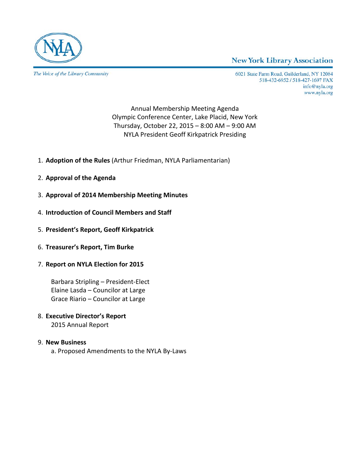

The Voice of the Library Community

#### **New York Library Association**

6021 State Farm Road, Guilderland, NY 12084 518-432-6952 / 518-427-1697 FAX info@nyla.org www.nyla.org

Annual Membership Meeting Agenda Olympic Conference Center, Lake Placid, New York Thursday, October 22, 2015 – 8:00 AM – 9:00 AM NYLA President Geoff Kirkpatrick Presiding

- 1. **Adoption of the Rules** (Arthur Friedman, NYLA Parliamentarian)
- 2. **Approval of the Agenda**
- 3. **Approval of 2014 Membership Meeting Minutes**
- 4. **Introduction of Council Members and Staff**
- 5. **President's Report, Geoff Kirkpatrick**
- 6. **Treasurer's Report, Tim Burke**
- 7. **Report on NYLA Election for 2015**

Barbara Stripling – President-Elect Elaine Lasda – Councilor at Large Grace Riario – Councilor at Large

8. **Executive Director's Report** 2015 Annual Report

#### 9. **New Business**

a. Proposed Amendments to the NYLA By-Laws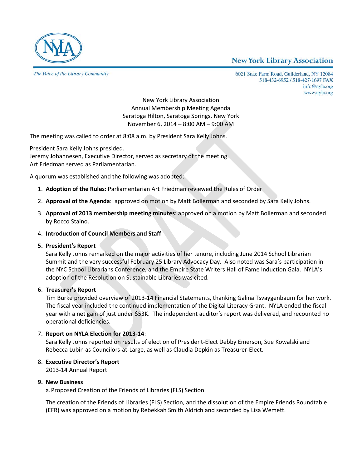#### **New York Library Association**



The Voice of the Library Community

6021 State Farm Road, Guilderland, NY 12084 518-432-6952 / 518-427-1697 FAX info@nyla.org www.nyla.org

New York Library Association Annual Membership Meeting Agenda Saratoga Hilton, Saratoga Springs, New York November 6, 2014 – 8:00 AM – 9:00 AM

The meeting was called to order at 8:08 a.m. by President Sara Kelly Johns.

President Sara Kelly Johns presided.

Jeremy Johannesen, Executive Director, served as secretary of the meeting. Art Friedman served as Parliamentarian.

A quorum was established and the following was adopted:

- 1. **Adoption of the Rules**: Parliamentarian Art Friedman reviewed the Rules of Order
- 2. **Approval of the Agenda**: approved on motion by Matt Bollerman and seconded by Sara Kelly Johns.
- 3. **Approval of 2013 membership meeting minutes**: approved on a motion by Matt Bollerman and seconded by Rocco Staino.
- 4. **Introduction of Council Members and Staff**

#### **5. President's Report**

Sara Kelly Johns remarked on the major activities of her tenure, including June 2014 School Librarian Summit and the very successful February 25 Library Advocacy Day. Also noted was Sara's participation in the NYC School Librarians Conference, and the Empire State Writers Hall of Fame Induction Gala. NYLA's adoption of the Resolution on Sustainable Libraries was cited.

#### 6. **Treasurer's Report**

Tim Burke provided overview of 2013-14 Financial Statements, thanking Galina Tsvaygenbaum for her work. The fiscal year included the continued implementation of the Digital Literacy Grant. NYLA ended the fiscal year with a net gain of just under \$53K. The independent auditor's report was delivered, and recounted no operational deficiencies.

#### 7. **Report on NYLA Election for 2013-14**:

Sara Kelly Johns reported on results of election of President-Elect Debby Emerson, Sue Kowalski and Rebecca Lubin as Councilors-at-Large, as well as Claudia Depkin as Treasurer-Elect.

8. **Executive Director's Report**

2013-14 Annual Report

#### **9. New Business**

a.Proposed Creation of the Friends of Libraries (FLS) Section

The creation of the Friends of Libraries (FLS) Section, and the dissolution of the Empire Friends Roundtable (EFR) was approved on a motion by Rebekkah Smith Aldrich and seconded by Lisa Wemett.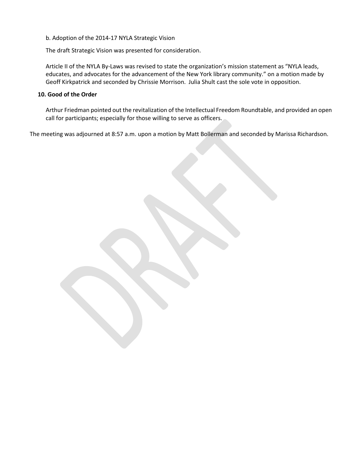b. Adoption of the 2014-17 NYLA Strategic Vision

The draft Strategic Vision was presented for consideration.

Article II of the NYLA By-Laws was revised to state the organization's mission statement as "NYLA leads, educates, and advocates for the advancement of the New York library community." on a motion made by Geoff Kirkpatrick and seconded by Chrissie Morrison. Julia Shult cast the sole vote in opposition.

#### **10. Good of the Order**

Arthur Friedman pointed out the revitalization of the Intellectual Freedom Roundtable, and provided an open call for participants; especially for those willing to serve as officers.

The meeting was adjourned at 8:57 a.m. upon a motion by Matt Bollerman and seconded by Marissa Richardson.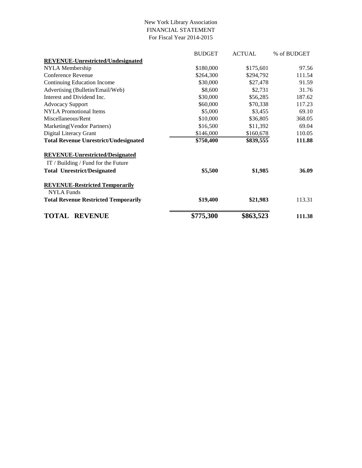#### New York Library Association FINANCIAL STATEMENT For Fiscal Year 2014-2015

|                                              | <b>BUDGET</b> | <b>ACTUAL</b> | % of BUDGET |
|----------------------------------------------|---------------|---------------|-------------|
| <b>REVENUE-Unrestricted/Undesignated</b>     |               |               |             |
| NYLA Membership                              | \$180,000     | \$175,601     | 97.56       |
| Conference Revenue                           | \$264,300     | \$294,792     | 111.54      |
| Continuing Education Income                  | \$30,000      | \$27,478      | 91.59       |
| Advertising (Bulletin/Email/Web)             | \$8,600       | \$2,731       | 31.76       |
| Interest and Dividend Inc.                   | \$30,000      | \$56,285      | 187.62      |
| <b>Advocacy Support</b>                      | \$60,000      | \$70,338      | 117.23      |
| <b>NYLA</b> Promotional Items                | \$5,000       | \$3,455       | 69.10       |
| Miscellaneous/Rent                           | \$10,000      | \$36,805      | 368.05      |
| Marketing (Vendor Partners)                  | \$16,500      | \$11,392      | 69.04       |
| Digital Literacy Grant                       | \$146,000     | \$160,678     | 110.05      |
| <b>Total Revenue Unrestrict/Undesignated</b> | \$750,400     | \$839,555     | 111.88      |
| <b>REVENUE-Unrestricted/Designated</b>       |               |               |             |
| IT / Building / Fund for the Future          |               |               |             |
| <b>Total Unrestrict/Designated</b>           | \$5,500       | \$1,985       | 36.09       |
| <b>REVENUE-Restricted Temporarily</b>        |               |               |             |
| <b>NYLA Funds</b>                            |               |               |             |
| <b>Total Revenue Restricted Temporarily</b>  | \$19,400      | \$21,983      | 113.31      |
| <b>TOTAL</b><br><b>REVENUE</b>               | \$775,300     | \$863,523     | 111.38      |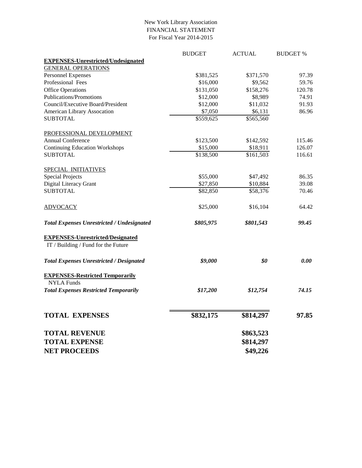#### New York Library Association FINANCIAL STATEMENT For Fiscal Year 2014-2015

|                                                   | <b>BUDGET</b> | <b>ACTUAL</b> | <b>BUDGET %</b> |
|---------------------------------------------------|---------------|---------------|-----------------|
| <b>EXPENSES-Unrestricted/Undesignated</b>         |               |               |                 |
| <b>GENERAL OPERATIONS</b>                         |               |               |                 |
| <b>Personnel Expenses</b>                         | \$381,525     | \$371,570     | 97.39           |
| Professional Fees                                 | \$16,000      | \$9,562       | 59.76           |
| <b>Office Operations</b>                          | \$131,050     | \$158,276     | 120.78          |
| <b>Publications/Promotions</b>                    | \$12,000      | \$8,989       | 74.91           |
| Council/Executive Board/President                 | \$12,000      | \$11,032      | 91.93           |
| American Library Assocation                       | \$7,050       | \$6,131       | 86.96           |
| <b>SUBTOTAL</b>                                   | \$559,625     | \$565,560     |                 |
| PROFESSIONAL DEVELOPMENT                          |               |               |                 |
| <b>Annual Conference</b>                          | \$123,500     | \$142,592     | 115.46          |
| <b>Continuing Education Workshops</b>             | \$15,000      | \$18,911      | 126.07          |
| <b>SUBTOTAL</b>                                   | \$138,500     | \$161,503     | 116.61          |
| SPECIAL INITIATIVES                               |               |               |                 |
| <b>Special Projects</b>                           | \$55,000      | \$47,492      | 86.35           |
| Digital Literacy Grant                            | \$27,850      | \$10,884      | 39.08           |
| <b>SUBTOTAL</b>                                   | \$82,850      | \$58,376      | 70.46           |
| <b>ADVOCACY</b>                                   | \$25,000      | \$16,104      | 64.42           |
| <b>Total Expenses Unrestricted / Undesignated</b> | \$805,975     | \$801,543     | 99.45           |
| <b>EXPENSES-Unrestricted/Designated</b>           |               |               |                 |
| IT / Building / Fund for the Future               |               |               |                 |
| <b>Total Expenses Unrestricted / Designated</b>   | \$9,000       | \$0           | 0.00            |
| <b>EXPENSES-Restricted Temporarily</b>            |               |               |                 |
| <b>NYLA Funds</b>                                 |               |               |                 |
| <b>Total Expenses Restricted Temporarily</b>      | \$17,200      | \$12,754      | 74.15           |
|                                                   |               |               |                 |
| <b>TOTAL EXPENSES</b>                             | \$832,175     | \$814,297     | 97.85           |
| <b>TOTAL REVENUE</b>                              |               | \$863,523     |                 |
| <b>TOTAL EXPENSE</b>                              |               | \$814,297     |                 |
| <b>NET PROCEEDS</b>                               |               | \$49,226      |                 |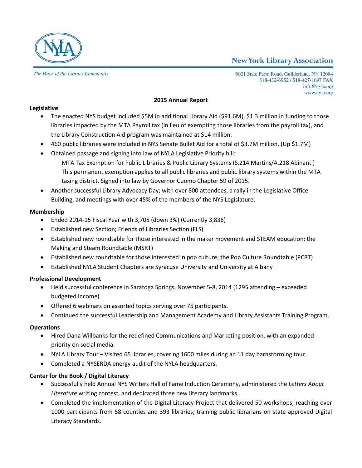



The Voice of the Library Community

6021 State Farm Road, Guilderland, NY 12084 518-432-6952 / 518-427-1697 FAX info@nyla.org www.nyla.org

#### **2015 Annual Report**

#### **Legislative**

- The enacted NYS budget included \$5M in additional Library Aid (\$91.6M), \$1.3 million in funding to those libraries impacted by the MTA Payroll tax (in lieu of exempting those libraries from the payroll tax), and the Library Construction Aid program was maintained at \$14 million.
- 460 public libraries were included in NYS Senate Bullet Aid for a total of \$3.7M million. (Up \$1.7M)
- Obtained passage and signing into law of NYLA Legislative Priority bill: MTA Tax Exemption for Public Libraries & Public Library Systems (S.214 Martins/A.218 Abinanti) This permanent exemption applies to all public libraries and public library systems within the MTA taxing district. Signed into law by Governor Cuomo Chapter 59 of 2015.
- Another successful Library Advocacy Day; with over 800 attendees, a rally in the Legislative Office Building, and meetings with over 45% of the members of the NYS Legislature.

#### **Membership**

- Ended 2014-15 Fiscal Year with 3,705 (down 3%) (Currently 3,836)
- Established new Section; Friends of Libraries Section (FLS)
- Established new roundtable for those interested in the maker movement and STEAM education; the Making and Steam Roundtable (MSRT)
- Established new roundtable for those interested in pop culture; the Pop Culture Roundtable (PCRT)
- Established NYLA Student Chapters are Syracuse University and University at Albany

#### **Professional Development**

- Held successful conference in Saratoga Springs, November 5-8, 2014 (1295 attending exceeded budgeted income)
- Offered 6 webinars on assorted topics serving over 75 participants.
- Continued the successful Leadership and Management Academy and Library Assistants Training Program.

#### **Operations**

- Hired Dana Willbanks for the redefined Communications and Marketing position, with an expanded priority on social media.
- NYLA Library Tour Visited 65 libraries, covering 1600 miles during an 11 day barnstorming tour.
- Completed a NYSERDA energy audit of the NYLA headquarters.

#### **Center for the Book / Digital Literacy**

- Successfully held Annual NYS Writers Hall of Fame Induction Ceremony, administered the *Letters About Literature* writing contest, and dedicated three new literary landmarks.
- Completed the implementation of the Digital Literacy Project that delivered 50 workshops; reaching over 1000 participants from 58 counties and 393 libraries; training public librarians on state approved Digital Literacy Standards.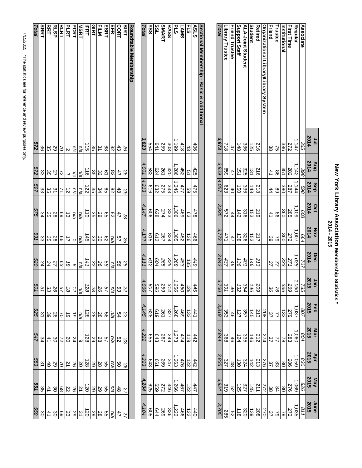# New York Library Association Membership Statistics \*<br>2014 - 2015 **New York Library Association Membership Statistics \* 2014 - 2015**

|                                           | ۱n<br>۱        | <b>Gny</b>      | <b>Sep</b>    | Oct             | Nov                     | Dec   | Jan       |                | Mar            |                 |                | June            |
|-------------------------------------------|----------------|-----------------|---------------|-----------------|-------------------------|-------|-----------|----------------|----------------|-----------------|----------------|-----------------|
|                                           | 2014           | 2014            | 2014          | 2014            | 2014                    | 2014  | 2015      | Feb<br>2015    | 2015           | Apr<br>2015     | May<br>2015    | 2015            |
| <b>Associate</b>                          | 365            | 398             | 869           | 809             | 664                     | 707   | 735       | 208            | 804            | 830             | 978            | 118             |
| Regular                                   | 1,147          | $^{1,142}$      | 1,144         | 1,109           | 1,007                   | 1,038 | 1,030     | 1,037          | 1,060          | 1,059           | 1,069          | 1,035           |
| First Time                                | 272            | 282             | 787           | 285             | 272                     | 122   | 692       | 623            | 283            | 386             | 276            | 272             |
| <b>Institutional</b>                      | 386            | 351             | 380           | 360             | 360                     | သွ    | 336       | ಡ              | $\approx$      | 8               | $\frac{8}{2}$  | $\mathcal{S}$   |
| <b>Frustee</b>                            | Ğ              | 8               | 89            | 8               | S                       |       | 97        | $\overline{1}$ | $\overline{2}$ | ထွ              | 84             | $\mathcal{S}$   |
| Friend                                    | ယ္တ            | $\overline{41}$ | 44            | $\overline{41}$ | 89                      | 37    | 86        | 37             | $\frac{2}{7}$  | 37              | 88             | 37              |
| Organizational Library/Library System     |                |                 |               |                 |                         |       |           | 208            | 274            | 276             | 272            | 270             |
| Retired                                   | $\frac{2}{9}$  | $\frac{2}{9}$   | $\frac{2}{8}$ | 61Z             | 217                     | 213   | 509       | 213            | 212            | $\frac{213}{2}$ | $\frac{21}{1}$ | 208             |
| Student                                   | 52             | $\vec{3}$       | 148           | ಪ               | ಪ                       | 146   | 46        | 145            | $3+1$          | 142             | 145            | $\frac{139}{2}$ |
| ALA-Joint Student                         | 33             | 325             | 336           | $\frac{8}{9}$   | 326                     | 401   | 354       | 357            | 335            | 324             | 327            | 320             |
| Support Staff                             | $\frac{4}{48}$ | <u>ตุ</u>       | gi            | $\frac{42}{5}$  | $\overline{\tilde{38}}$ | 136   | $\approx$ | 127            | 124            | $\vec{30}$      | 125            | $\frac{1}{8}$   |
| <b>Friend Trustee</b>                     | 47             | 47              | $\ddot{d}$    | 44              | 47                      | 46    | 46        | 46             | 46             | 48              | ςg             | 9<br>N          |
| Library Trustee                           | $\frac{1}{8}$  | 699             | 623           | 272             | 471                     | 437   | 391       | 353            | 368            | 327             | 319            | 285             |
| Total                                     | 3,873          | 3829            | 4,057         | 3,935           | 3.773                   | 3,842 | 3,760     | 3,819          | 3,844          | 3,835           | 3824           | 3.705           |
|                                           |                |                 |               |                 |                         |       |           |                |                |                 |                |                 |
| Sectional Membership - Basic & Additional |                |                 |               |                 |                         |       |           |                |                |                 |                |                 |

**ASLS FLS LAMS PLS**

**RASS SMART SSL YSS**

 $\frac{406}{418}$ 

1,199

303

641<br>554

624<br>582

 $\frac{63}{616}$ 

828<br>606

 $\frac{25}{10}$ 

320

333<br>275

1,286

1,346

 $\frac{1,306}{2274}$ 

 $\frac{425}{51}$ 

 $\frac{475}{59}$ 

 $\frac{6}{69}$ 

 $\frac{466}{36} \frac{1136}{136} \frac{11}{136}$ 

*449* 135 *453 1,268 325 265 604*

*445* 129 *460 1,256 314 259 596*

442 122 476 1,263 347 269 661

1,373<br>1,349 264<br>1,349 265

619

659

 $\left. \begin{array}{l} | \\ 4 \\ 2 \\ 3 \end{array} \right| \left. \begin{array}{l} | \\ 2 \\ 3 \\ 4 \end{array} \right| \left. \begin{array}{l} | \\ 3 \\ 4 \end{array} \right| \left. \begin{array}{l} | \\ 2 \\ 3 \end{array} \right| \left. \begin{array}{l} | \\ 3 \\ 2 \end{array} \right| \left. \begin{array}{l} | \\ 3 \\ 2 \end{array} \right| \left. \begin{array}{l} | \\ 2 \\ 3 \end{array} \right| \left. \begin{array}{l} | \\ 3 \\ 2 \end{array} \right| \left. \begin{array}{l} | \\ 2$ 

447 122 447<br>122 467 1246<br>122 124

44 132 4<br>4 3 4 4 5 5 7 7 8 7<br>4 3 6 5 6 7 7 8 7

412<br>474<br>474

| J<br>$\ddot{\phantom{a}}$<br>l                          |
|---------------------------------------------------------|
| .<br>.<br>.<br>֧֧֚֚֝֝<br>֧֚֚֚֚֚֚֝֝֝<br>֧֚֚֚֚֝֝ <u>֚</u> |
| I<br><br>I<br>ة<br>إ                                    |
| .<br>.<br>.<br>.                                        |
|                                                         |

| <b>Roundtable Membership</b><br><b>GIRT</b><br><b>HLM</b><br><b>ESRT</b><br>뮤니크<br><b>BIRT</b><br>CORT<br>Total | 3,823<br>ပ္တ<br>$\tilde{z}$<br>$\overline{\mathrm{8}}$<br>88<br>සි<br>8 | 4,001<br>ပ္တ<br>82<br>$\overline{6}$<br>82<br>47<br>25 | 4213<br>ပ္တ<br>34<br>89<br>82<br>48<br>29 | 4,147<br>ပ္တ<br>29<br>82<br>89<br>47<br>28 | 4,177<br>ಜ<br>8<br>ෆී<br>25<br>n/a<br>SS | 4,111<br>ಜ<br>92<br>89<br>99<br>SS<br>ma | 4, 0<br>82<br>92<br>49<br>S3<br>Z2<br>$\overline{90}$<br>n/a | 4,145<br>28<br>28<br>9g<br>54<br>ηà<br>Ω | 4,222<br>59<br>28<br>49<br>ς<br>n/a<br>S3 | 4,223<br>9g<br>n/a<br>9g | 92                   | 4,204<br>59<br>59<br>ე<br>თ<br>na<br>48<br>22 |
|-----------------------------------------------------------------------------------------------------------------|-------------------------------------------------------------------------|--------------------------------------------------------|-------------------------------------------|--------------------------------------------|------------------------------------------|------------------------------------------|--------------------------------------------------------------|------------------------------------------|-------------------------------------------|--------------------------|----------------------|-----------------------------------------------|
|                                                                                                                 |                                                                         |                                                        |                                           |                                            |                                          |                                          |                                                              |                                          |                                           |                          | 59<br>28             |                                               |
| <b>IFRT</b>                                                                                                     | $\frac{1}{5}$                                                           | $\frac{1}{9}$                                          | 72                                        | $\frac{1}{2}$                              | $\frac{4}{5}$                            | 141                                      | $\overline{128}$                                             | 128                                      |                                           | $\overline{28}$          | 128                  | $\overline{50}$                               |
| <b>MSRT</b>                                                                                                     | n/a                                                                     | n/a                                                    | n/a                                       | n/a                                        | n/a                                      | n/a                                      | n/a                                                          | n/a                                      |                                           | $\circ$                  | <b>SO</b>            | $\overline{2}$                                |
| <b>PCRT</b>                                                                                                     | n/a                                                                     | n/a                                                    | n/a                                       | n/a                                        | $\circ$                                  | $\circ$                                  | 12                                                           | $\vec{0}$                                |                                           | 24                       | 26                   | 26                                            |
| <b>PLRT</b>                                                                                                     | $\mathsf{N}$                                                            | $\overline{\phantom{0}}$                               | $\vec{c}$                                 | ದ                                          | $\vec{=}$                                | $\frac{8}{16}$                           | $\frac{8}{2}$                                                | $\vec{6}$                                |                                           | 20                       | $\overline{z}$       | 22                                            |
| <b>RLRT</b>                                                                                                     | $\approx$                                                               | $\overline{z}$                                         | 7                                         | 69                                         | 8                                        | සි                                       | $\overline{67}$                                              | $\sim$                                   |                                           | $\overline{z}$           | $\alpha$             | 88                                            |
| <b>RLSP</b>                                                                                                     | S9                                                                      | 72                                                     | ین                                        | 28                                         | 28                                       | 22                                       | 92                                                           | 28                                       |                                           | δg                       | 29                   | δg                                            |
| RRT                                                                                                             | ပ္တ                                                                     | ပ္တ                                                    | ပ္ပ                                       | ပ္တ                                        | ပ္ပ                                      | 34                                       | జ                                                            | 39                                       |                                           | $\overline{41}$          | 40                   | $\ddot{4}$                                    |
| <b>SRRT</b>                                                                                                     | 8                                                                       | జ                                                      | జ                                         | 34                                         | జ                                        | 34                                       | 31                                                           | $\tilde{\mathbf{z}}$                     |                                           | 34                       | $\tilde{\mathbf{z}}$ | ပ္ပ                                           |
| Total                                                                                                           | 572                                                                     | 272                                                    | 297                                       | 575                                        | 531                                      | 029                                      | 501                                                          | 525                                      |                                           | 547                      | 553                  | 551                                           |
|                                                                                                                 |                                                                         |                                                        |                                           |                                            |                                          |                                          |                                                              |                                          |                                           |                          |                      |                                               |